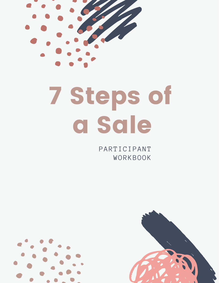

### 7 Steps of a Sale

PARTICIPANT WORKBOOK



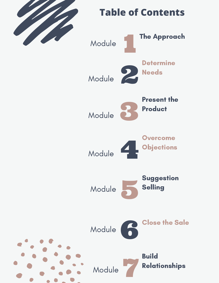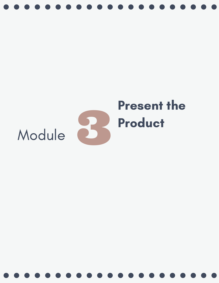

#### $\mathbf{2}$ Present the Product Module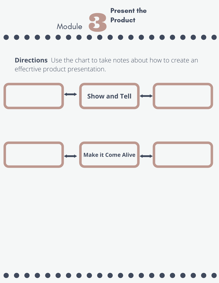

**Directions** Use the chart to take notes about how to create an effecrtive product presentation.

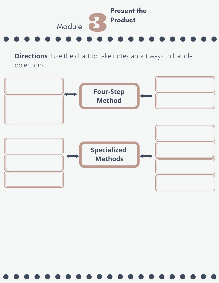

**Directions** Use the chart to take notes about ways to handle objections.

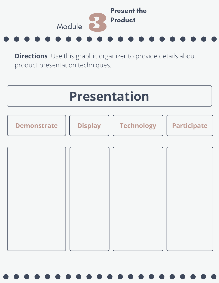

**Directions** Use this graphic organizer to provide details about product presentation techniques.

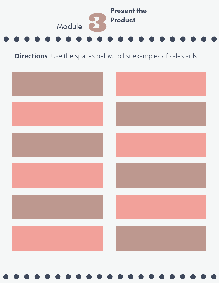

**Directions** Use the spaces below to list examples of sales aids.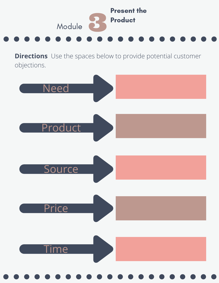

**Directions** Use the spaces below to provide potential customer objections.

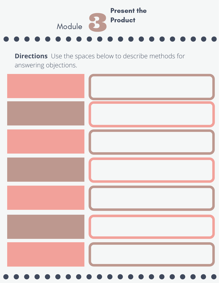

**Directions** Use the spaces below to describe methods for answering objections.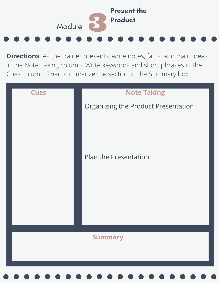

**Directions** As the trainer presents, write notes, facts, and main ideas in the Note Taking column. Write keywords and short phrases in the Cues column. Then summarize the section in the Summary box.

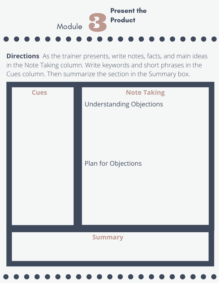

**Directions** As the trainer presents, write notes, facts, and main ideas in the Note Taking column. Write keywords and short phrases in the Cues column. Then summarize the section in the Summary box.

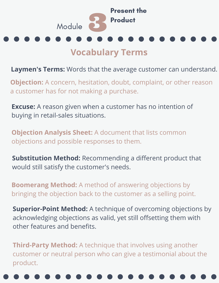

#### **Vocabulary Terms**

**Laymen's Terms:** Words that the average customer can understand.

**Objection:** A concern, hesitation, doubt, complaint, or other reason a customer has for not making a purchase.

**Excuse:** A reason given when a customer has no intention of buying in retail-sales situations.

**Objection Analysis Sheet:** A document that lists common objections and possible responses to them.

**Substitution Method:** Recommending a different product that would still satisfy the customer's needs.

**Boomerang Method:** A method of answering objections by bringing the objection back to the customer as a selling point.

**Superior-Point Method:** A technique of overcoming objections by acknowledging objections as valid, yet still offsetting them with other features and benefits.

**Third-Party Method:** A technique that involves using another customer or neutral person who can give a testimonial about the product.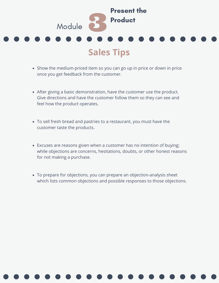

- Show the medium-priced item so you can go up in price or down in price once you get feedback from the customer.
- After giving a basic demonstration, have the customer use the product. Give directions and have the customer follow them so they can see and feel how the product operates.
- To sell fresh bread and pastries to a restaurant, you must have the customer taste the products.
- Excuses are reasons given when a customer has no intention of buying; while objections are concerns, hesitations, doubts, or other honest reasons for not making a purchase.
- To prepare for objections, you can prepare an objection-analysis sheet which lists common objections and possible responses to those objections.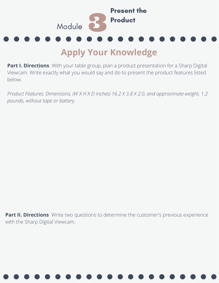

#### **Apply Your Knowledge**

**Part I. Directions** With your table group, plan a product presentation for a Sharp Digital Viewcam. Write exactly what you would say and do to present the product features listed below.

*Product Features: Dimensions, (W X H X D inches) 16.2 X 3.8 X 2.0, and approximate weight, 1.2 pounds, without tape or battery.*

**Part II. Directions** Write two questions to determine the customer's previous experience with the Sharp Digital Viewcam.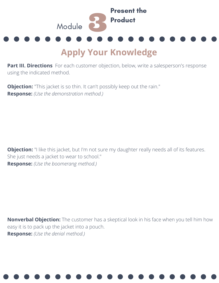

#### **Apply Your Knowledge**

**Part III. Directions** For each customer objection, below, write a salesperson's response using the indicated method.

**Objection:** "This jacket is so thin. It can't possibly keep out the rain." **Response:** *(Use the demonstration method.)*

**Objection:** "I like this jacket, but I'm not sure my daughter really needs all of its features. She just needs a jacket to wear to school." **Response:** *(Use the boomerang method.)*

**Nonverbal Objection:** The customer has a skeptical look in his face when you tell him how easy it is to pack up the jacket into a pouch. **Response:** *(Use the denial method.)*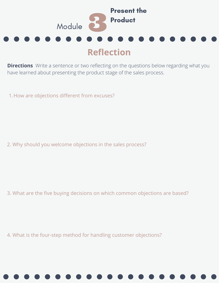

**Directions** Write a sentence or two reflecting on the questions below regarding what you have learned about presenting the product stage of the sales process.

1.How are objections different from excuses?

2. Why should you welcome objections in the sales process?

3. What are the five buying decisions on which common objections are based?

4. What is the four-step method for handling customer objections?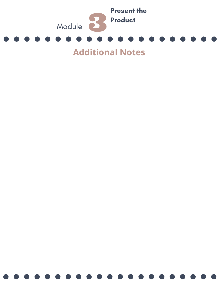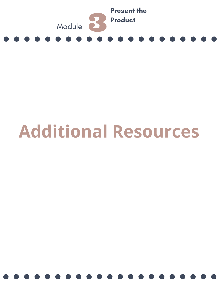

### **Additional Resources**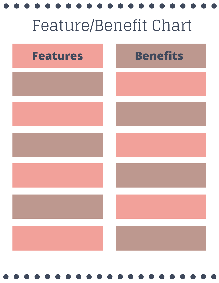# Feature/Benefit Chart

| <b>Features</b> | <b>Benefits</b> |
|-----------------|-----------------|
|                 |                 |
|                 |                 |
|                 |                 |
|                 |                 |
|                 |                 |
|                 |                 |
|                 |                 |